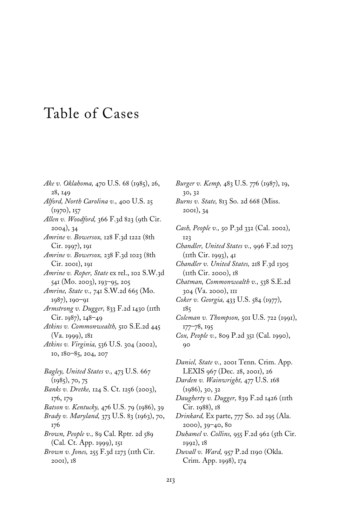## Table of Cases

*Ake v. Oklahoma,* 470 U.S. 68 (1985), 26, 28, 149 *Alford, North Carolina v.,* 400 U.S. 25 (1970), 157 *Allen v. Woodford,* 366 F.3d 823 (9th Cir. 2004), 34 *Amrine v. Bowersox,* 128 F.3d 1222 (8th Cir. 1997), 191 *Amrine v. Bowersox,* 238 F.3d 1023 (8th Cir. 2001), 191 *Amrine v. Roper, State* ex rel., 102 S.W.3d 541 (Mo. 2003), 193–95, 205 *Amrine, State v.,* 741 S.W.2d 665 (Mo. 1987), 190–91 *Armstrong v. Dugger,* 833 F.2d 1430 (11th Cir. 1987), 148–49 *Atkins v. Commonwealth,* 510 S.E.2d 445 (Va. 1999), 181 *Atkins v. Virginia,* 536 U.S. 304 (2002), 10, 180–85, 204, 207 *Bagley, United States v.,* 473 U.S. 667 (1985), 70, 75 *Banks v. Dretke,* 124 S. Ct. 1256 (2003), 176, 179 *Batson v. Kentucky,* 476 U.S. 79 (1986), 39 *Brady v. Maryland,* 373 U.S. 83 (1963), 70, 176 *Brown, People v.,* 89 Cal. Rptr. 2d 589 (Cal. Ct. App. 1999), 151 *Brown v. Jones,* 255 F.3d 1273 (11th Cir. 2001), 18

*Burns v. State,* 813 So. 2d 668 (Miss. 2001), 34 *Cash, People v.,* 50 P.3d 332 (Cal. 2002), 123 *Chandler, United States v.,* 996 F.2d 1073 (11th Cir. 1993), 41 *Chandler v. United States,* 218 F.3d 1305 (11th Cir. 2000), 18 *Chatman, Commonwealth v.,* 538 S.E.2d 304 (Va. 2000), 111 *Coker v. Georgia,* 433 U.S. 584 (1977), 185 *Coleman v. Thompson,* 501 U.S. 722 (1991), 177–78, 195 *Cox, People v.,* 809 P.2d 351 (Cal. 1990), 90 *Daniel, State v.,* 2001 Tenn. Crim. App. LEXIS 967 (Dec. 28, 2001), 26 *Darden v. Wainwright,* 477 U.S. 168 (1986), 30, 32 *Daugherty v. Dugger,* 839 F.2d 1426 (11th Cir. 1988), 18

*Burger v. Kemp,* 483 U.S. 776 (1987), 19,

30, 32

*Drinkard,* Ex parte, 777 So. 2d 295 (Ala. 2000), 39–40, 80

*Duhamel v. Collins,* 955 F.2d 962 (5th Cir. 1992), 18

*Duvall v. Ward,* 957 P.2d 1190 (Okla. Crim. App. 1998), 174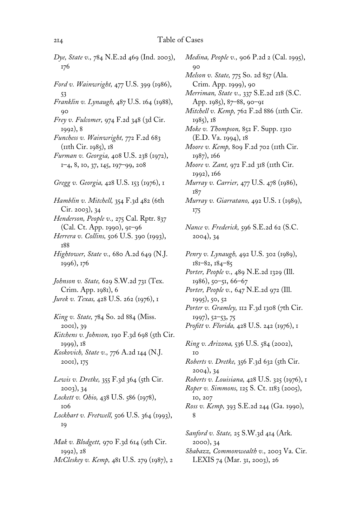## 214 Table of Cases

| Dye, State v., 784 N.E.2d 469 (Ind. 2003),<br>176                                                                                                                                                                                                      |
|--------------------------------------------------------------------------------------------------------------------------------------------------------------------------------------------------------------------------------------------------------|
| Ford v. Wainwright, 477 U.S. 399 (1986),<br>53<br>Franklin v. Lynaugh, 487 U.S. 164 (1988),<br>90<br>Frey v. Fulcomer, 974 F.2d 348 (3d Cir.                                                                                                           |
| 1992), 8<br>Funchess v. Wainwright, 772 F.2d 683<br>(IIth Cir. 1985), 18<br>Furman v. Georgia, 408 U.S. 238 (1972),<br>1-4, 8, 10, 37, 145, 197-99, 208                                                                                                |
| Gregg v. Georgia, 428 U.S. 153 (1976), 1                                                                                                                                                                                                               |
| Hamblin v. Mitchell, 354 F.3d 482 (6th<br>Cir. 2003), 34<br>Henderson, People v., 275 Cal. Rptr. 837<br>(Cal. Ct. App. 1990), 91-96<br>Herrera v. Collins, 506 U.S. 390 (1993),<br><b>188</b><br>Hightower, State v., 680 A.2d 649 (N.J.<br>1996), 176 |
| Johnson v. State, 629 S.W.2d 731 (Tex.<br>Crim. App. 1981), 6<br>Jurek v. Texas, 428 U.S. 262 (1976), 1                                                                                                                                                |
| King v. State, 784 So. 2d 884 (Miss.<br>2001), 39<br>Kitchens v. Johnson, 190 F.3d 698 (5th Cir.<br>1999), 18<br>Koskovich, State v., 776 A.2d 144 (N.J.<br>2001), 175                                                                                 |
| Lewis v. Dretke, 355 F.3d 364 (5th Cir.<br>2003, 34<br>Lockett v. Ohio, 438 U.S. 586 (1978),<br>106<br>Lockhart v. Fretwell, 506 U.S. 364 (1993),<br>19                                                                                                |
| Mak v. Blodgett, 970 F.3d 614 (9th Cir.<br>1992), 28<br>McCleskey v. Kemp, 481 U.S. 279 (1987), 2                                                                                                                                                      |

*Medina, People v.,* 906 P.2d 2 (Cal. 1995), 90 *Melson v. State,* 775 So. 2d 857 (Ala. Crim. App. 1999), 90 *Merriman, State v.,* 337 S.E.2d 218 (S.C. App. 1985), 87–88, 90–91 *Mitchell v. Kemp, 762 F.2d 886 (11th Cir.* 1985), 18 *Moke v. Thompson,* 852 F. Supp. 1310 (E.D. Va. 1994), 18 *Moore v. Kemp,* 809 F.2d 702 (11th Cir. 1987), 166 *Moore v. Zant,* 972 F.2d 318 (11th Cir. 1992), 166 *Murray v. Carrier,* 477 U.S. 478 (1986), 187 *Murray v. Giarratano,* 492 U.S. 1 (1989), 175 *Nance v. Frederick,* 596 S.E.2d 62 (S.C. 2004), 34 *Penry v. Lynaugh,* 492 U.S. 302 (1989), 181–82, 184–85 *Porter, People v.,* 489 N.E.2d 1329 (Ill. 1986), 50–51, 66–67 *Porter, People v.,* 647 N.E.2d 972 (Ill. 1995), 50, 52 *Porter v. Gramley,* 112 F.3d 1308 (7th Cir. 1997), 52–53, 75 *Profitt v. Florida, 428 U.S. 242 (1976), 1 Ring v. Arizona,* 536 U.S. 584 (2002), 10 *Roberts v. Dretke,* 356 F.3d 632 (5th Cir. 2004), 34 *Roberts v. Louisiana,* 428 U.S. 325 (1976), 1 *Roper v. Simmons,* 125 S. Ct. 1183 (2005), 10, 207 *Ross v. Kemp,* 393 S.E.2d 244 (Ga. 1990), 8 *Sanford v. State,* 25 S.W.3d 414 (Ark. 2000), 34

*Shabazz, Commonwealth v.,* 2003 Va. Cir. LEXIS 74 (Mar. 31, 2003), 26